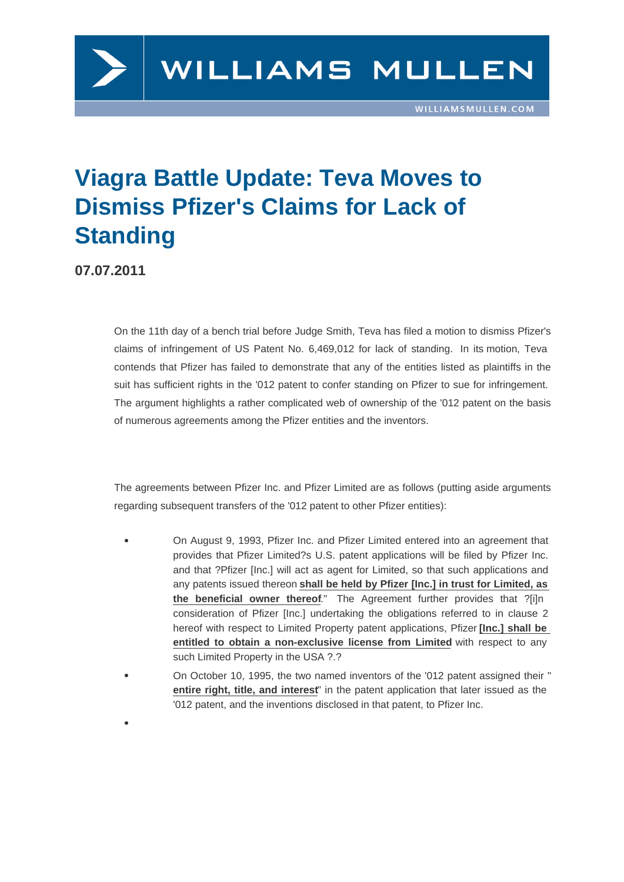## Viagra Battle Update: Teva Moves to Dismiss Pfizer's Claims for Lack of **Standing**

07.07.2011

On the 11th day of a bench trial before Judge Smith, Teva has filed a motion to dismiss Pfizer's claims of infringement of US Patent No. 6,469,012 for lack of standing. In its motion, Teva contends that Pfizer has failed to demonstrate that any of the entities listed as plaintiffs in the suit has sufficient rights in the '012 patent to confer standing on Pfizer to sue for infringement. The argument highlights a rather complicated web of ownership of the '012 pate[nt on th](http://)e basis of numerous agreements among the Pfizer entities and the inventors.

The agreements between Pfizer Inc. and Pfizer Limited are as follows (putting aside arguments regarding subsequent transfers of the '012 patent to other Pfizer entities):

- On August 9, 1993, Pfizer Inc. and Pfizer Limited entered into an agreement that provides that Pfizer Limited?s U.S. patent applications will be filed by Pfizer Inc. and that ?Pfizer [Inc.] will act as agent for Limited, so that such applications and any patents issued thereon shall be held by Pfizer [Inc.] in trust for Limited, as the beneficial owner thereof ." The Agreement further provides that ?[i]n consideration of Pfizer [Inc.] undertaking the obligations referred to in clause 2 hereof with respect to Limited Property patent applications, Pfizer [Inc.] shall be entitled to obtain a non-exclusive license from Limited with respect to any such Limited Property in the USA ?.?
- On October 10, 1995, the two named inventors of the '012 patent assigned their " entire right, title, and interest " in the patent application that later issued as the '012 patent, and the inventions disclosed in that patent, to Pfizer Inc.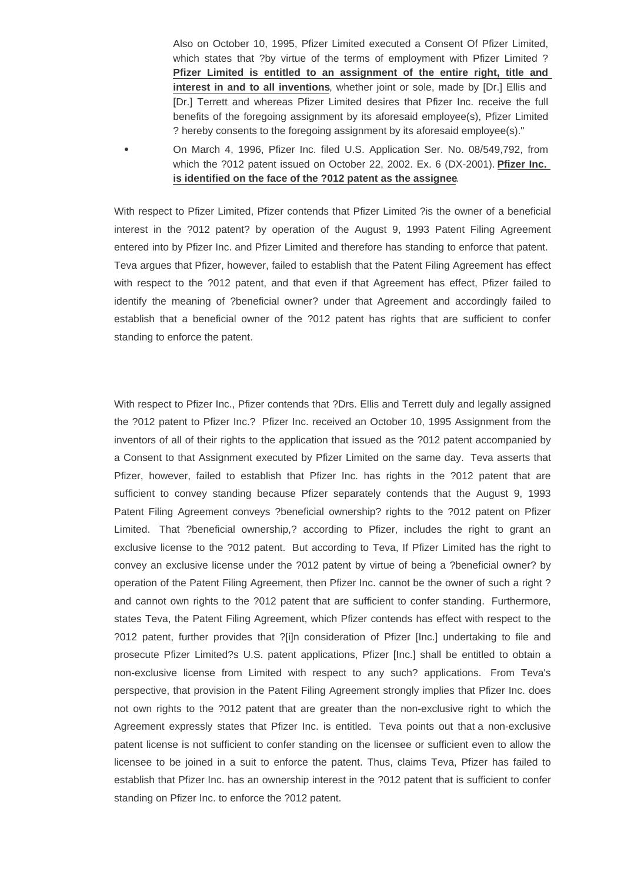Also on October 10, 1995, Pfizer Limited executed a Consent Of Pfizer Limited, which states that ?by virtue of the terms of employment with Pfizer Limited ? **Pfizer Limited is entitled to an assignment of the entire right, title and interest in and to all inventions**, whether joint or sole, made by [Dr.] Ellis and [Dr.] Terrett and whereas Pfizer Limited desires that Pfizer Inc. receive the full benefits of the foregoing assignment by its aforesaid employee(s), Pfizer Limited ? hereby consents to the foregoing assignment by its aforesaid employee(s)."

On March 4, 1996, Pfizer Inc. filed U.S. Application Ser. No. 08/549,792, from which the ?012 patent issued on October 22, 2002. Ex. 6 (DX-2001). **Pfizer Inc. is identified on the face of the ?012 patent as the assignee**.

With respect to Pfizer Limited, Pfizer contends that Pfizer Limited ?is the owner of a beneficial interest in the ?012 patent? by operation of the August 9, 1993 Patent Filing Agreement entered into by Pfizer Inc. and Pfizer Limited and therefore has standing to enforce that patent. Teva argues that Pfizer, however, failed to establish that the Patent Filing Agreement has effect with respect to the ?012 patent, and that even if that Agreement has effect, Pfizer failed to identify the meaning of ?beneficial owner? under that Agreement and accordingly failed to establish that a beneficial owner of the ?012 patent has rights that are sufficient to confer standing to enforce the patent.

With respect to Pfizer Inc., Pfizer contends that ?Drs. Ellis and Terrett duly and legally assigned the ?012 patent to Pfizer Inc.? Pfizer Inc. received an October 10, 1995 Assignment from the inventors of all of their rights to the application that issued as the ?012 patent accompanied by a Consent to that Assignment executed by Pfizer Limited on the same day. Teva asserts that Pfizer, however, failed to establish that Pfizer Inc. has rights in the ?012 patent that are sufficient to convey standing because Pfizer separately contends that the August 9, 1993 Patent Filing Agreement conveys ?beneficial ownership? rights to the ?012 patent on Pfizer Limited. That ?beneficial ownership,? according to Pfizer, includes the right to grant an exclusive license to the ?012 patent. But according to Teva, If Pfizer Limited has the right to convey an exclusive license under the ?012 patent by virtue of being a ?beneficial owner? by operation of the Patent Filing Agreement, then Pfizer Inc. cannot be the owner of such a right ? and cannot own rights to the ?012 patent that are sufficient to confer standing. Furthermore, states Teva, the Patent Filing Agreement, which Pfizer contends has effect with respect to the ?012 patent, further provides that ?[i]n consideration of Pfizer [Inc.] undertaking to file and prosecute Pfizer Limited?s U.S. patent applications, Pfizer [Inc.] shall be entitled to obtain a non-exclusive license from Limited with respect to any such? applications. From Teva's perspective, that provision in the Patent Filing Agreement strongly implies that Pfizer Inc. does not own rights to the ?012 patent that are greater than the non-exclusive right to which the Agreement expressly states that Pfizer Inc. is entitled. Teva points out that a non-exclusive patent license is not sufficient to confer standing on the licensee or sufficient even to allow the licensee to be joined in a suit to enforce the patent. Thus, claims Teva, Pfizer has failed to establish that Pfizer Inc. has an ownership interest in the ?012 patent that is sufficient to confer standing on Pfizer Inc. to enforce the ?012 patent.